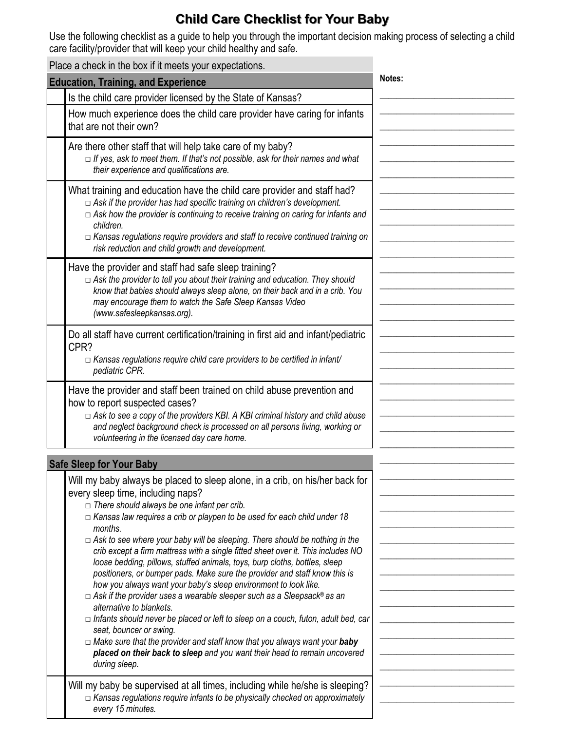## **Child Care Checklist for Your Baby**

Use the following checklist as a guide to help you through the important decision making process of selecting a child care facility/provider that will keep your child healthy and safe.

|                                            | Place a check in the box if it meets your expectations.                                                                                                                                                                                                                                                                                                                                                                                                                                                                                                                                                                                                                                                                                                                                                                                                                                                                                                                                                                                                                                              |        |
|--------------------------------------------|------------------------------------------------------------------------------------------------------------------------------------------------------------------------------------------------------------------------------------------------------------------------------------------------------------------------------------------------------------------------------------------------------------------------------------------------------------------------------------------------------------------------------------------------------------------------------------------------------------------------------------------------------------------------------------------------------------------------------------------------------------------------------------------------------------------------------------------------------------------------------------------------------------------------------------------------------------------------------------------------------------------------------------------------------------------------------------------------------|--------|
| <b>Education, Training, and Experience</b> |                                                                                                                                                                                                                                                                                                                                                                                                                                                                                                                                                                                                                                                                                                                                                                                                                                                                                                                                                                                                                                                                                                      | Notes: |
|                                            | Is the child care provider licensed by the State of Kansas?                                                                                                                                                                                                                                                                                                                                                                                                                                                                                                                                                                                                                                                                                                                                                                                                                                                                                                                                                                                                                                          |        |
|                                            | How much experience does the child care provider have caring for infants<br>that are not their own?                                                                                                                                                                                                                                                                                                                                                                                                                                                                                                                                                                                                                                                                                                                                                                                                                                                                                                                                                                                                  |        |
|                                            | Are there other staff that will help take care of my baby?<br>$\Box$ If yes, ask to meet them. If that's not possible, ask for their names and what<br>their experience and qualifications are.                                                                                                                                                                                                                                                                                                                                                                                                                                                                                                                                                                                                                                                                                                                                                                                                                                                                                                      |        |
|                                            | What training and education have the child care provider and staff had?<br>$\Box$ Ask if the provider has had specific training on children's development.<br>$\Box$ Ask how the provider is continuing to receive training on caring for infants and<br>children.<br>$\Box$ Kansas regulations require providers and staff to receive continued training on<br>risk reduction and child growth and development.                                                                                                                                                                                                                                                                                                                                                                                                                                                                                                                                                                                                                                                                                     |        |
|                                            | Have the provider and staff had safe sleep training?<br>$\Box$ Ask the provider to tell you about their training and education. They should<br>know that babies should always sleep alone, on their back and in a crib. You<br>may encourage them to watch the Safe Sleep Kansas Video<br>(www.safesleepkansas.org).                                                                                                                                                                                                                                                                                                                                                                                                                                                                                                                                                                                                                                                                                                                                                                                 |        |
|                                            | Do all staff have current certification/training in first aid and infant/pediatric<br>CPR?<br>$\Box$ Kansas regulations require child care providers to be certified in infant/<br>pediatric CPR.                                                                                                                                                                                                                                                                                                                                                                                                                                                                                                                                                                                                                                                                                                                                                                                                                                                                                                    |        |
|                                            | Have the provider and staff been trained on child abuse prevention and<br>how to report suspected cases?<br>$\Box$ Ask to see a copy of the providers KBI. A KBI criminal history and child abuse<br>and neglect background check is processed on all persons living, working or<br>volunteering in the licensed day care home.                                                                                                                                                                                                                                                                                                                                                                                                                                                                                                                                                                                                                                                                                                                                                                      |        |
| <b>Safe Sleep for Your Baby</b>            |                                                                                                                                                                                                                                                                                                                                                                                                                                                                                                                                                                                                                                                                                                                                                                                                                                                                                                                                                                                                                                                                                                      |        |
|                                            | Will my baby always be placed to sleep alone, in a crib, on his/her back for<br>every sleep time, including naps?<br>$\Box$ There should always be one infant per crib.<br>$\Box$ Kansas law requires a crib or playpen to be used for each child under 18<br>months.<br>$\Box$ Ask to see where your baby will be sleeping. There should be nothing in the<br>crib except a firm mattress with a single fitted sheet over it. This includes NO<br>loose bedding, pillows, stuffed animals, toys, burp cloths, bottles, sleep<br>positioners, or bumper pads. Make sure the provider and staff know this is<br>how you always want your baby's sleep environment to look like.<br>$\Box$ Ask if the provider uses a wearable sleeper such as a Sleepsack® as an<br>alternative to blankets.<br>$\Box$ Infants should never be placed or left to sleep on a couch, futon, adult bed, car<br>seat, bouncer or swing.<br>$\Box$ Make sure that the provider and staff know that you always want your baby<br>placed on their back to sleep and you want their head to remain uncovered<br>during sleep. |        |
|                                            | Will my baby be supervised at all times, including while he/she is sleeping?<br>$\Box$ Kansas regulations require infants to be physically checked on approximately<br>every 15 minutes.                                                                                                                                                                                                                                                                                                                                                                                                                                                                                                                                                                                                                                                                                                                                                                                                                                                                                                             |        |